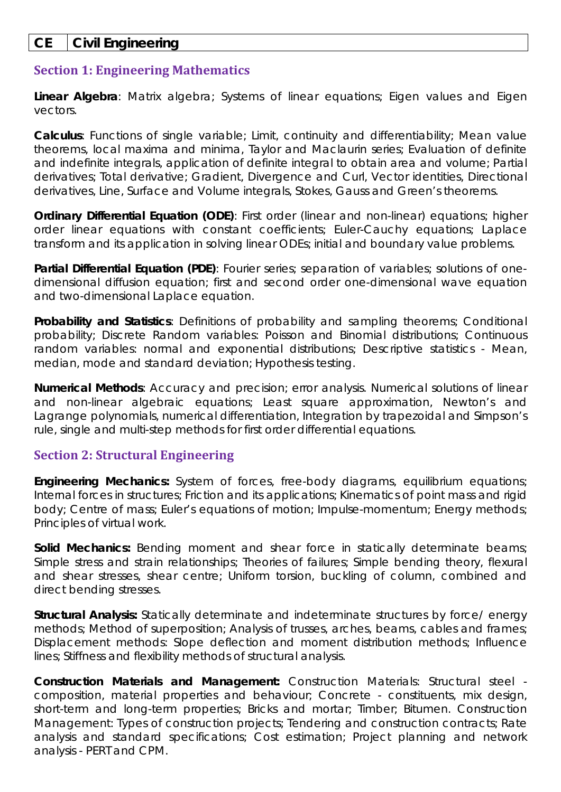## **CE Civil Engineering**

### **Section 1: Engineering Mathematics**

**Linear Algebra**: Matrix algebra; Systems of linear equations; Eigen values and Eigen vectors.

**Calculus**: Functions of single variable; Limit, continuity and differentiability; Mean value theorems, local maxima and minima, Taylor and Maclaurin series; Evaluation of definite and indefinite integrals, application of definite integral to obtain area and volume; Partial derivatives; Total derivative; Gradient, Divergence and Curl, Vector identities, Directional derivatives, Line, Surface and Volume integrals, Stokes, Gauss and Green's theorems.

**Ordinary Differential Equation (ODE)**: First order (linear and non-linear) equations; higher order linear equations with constant coefficients; Euler-Cauchy equations; Laplace transform and its application in solving linear ODEs; initial and boundary value problems.

**Partial Differential Equation (PDE)**: Fourier series; separation of variables; solutions of onedimensional diffusion equation; first and second order one-dimensional wave equation and two-dimensional Laplace equation.

**Probability and Statistics**: Definitions of probability and sampling theorems; Conditional probability; Discrete Random variables: Poisson and Binomial distributions; Continuous random variables: normal and exponential distributions; Descriptive statistics - Mean, median, mode and standard deviation; Hypothesis testing.

**Numerical Methods**: Accuracy and precision; error analysis. Numerical solutions of linear and non-linear algebraic equations; Least square approximation, Newton's and Lagrange polynomials, numerical differentiation, Integration by trapezoidal and Simpson's rule, single and multi-step methods for first order differential equations.

# **Section 2: Structural Engineering**

**Engineering Mechanics:** System of forces, free-body diagrams, equilibrium equations; Internal forces in structures; Friction and its applications; Kinematics of point mass and rigid body; Centre of mass; Euler's equations of motion; Impulse-momentum; Energy methods; Principles of virtual work.

**Solid Mechanics:** Bending moment and shear force in statically determinate beams; Simple stress and strain relationships; Theories of failures; Simple bending theory, flexural and shear stresses, shear centre; Uniform torsion, buckling of column, combined and direct bending stresses.

**Structural Analysis:** Statically determinate and indeterminate structures by force/ energy methods; Method of superposition; Analysis of trusses, arches, beams, cables and frames; Displacement methods: Slope deflection and moment distribution methods; Influence lines; Stiffness and flexibility methods of structural analysis.

**Construction Materials and Management:** Construction Materials: Structural steel composition, material properties and behaviour; Concrete - constituents, mix design, short-term and long-term properties; Bricks and mortar; Timber; Bitumen. Construction Management: Types of construction projects; Tendering and construction contracts; Rate analysis and standard specifications; Cost estimation; Project planning and network analysis - PERT and CPM.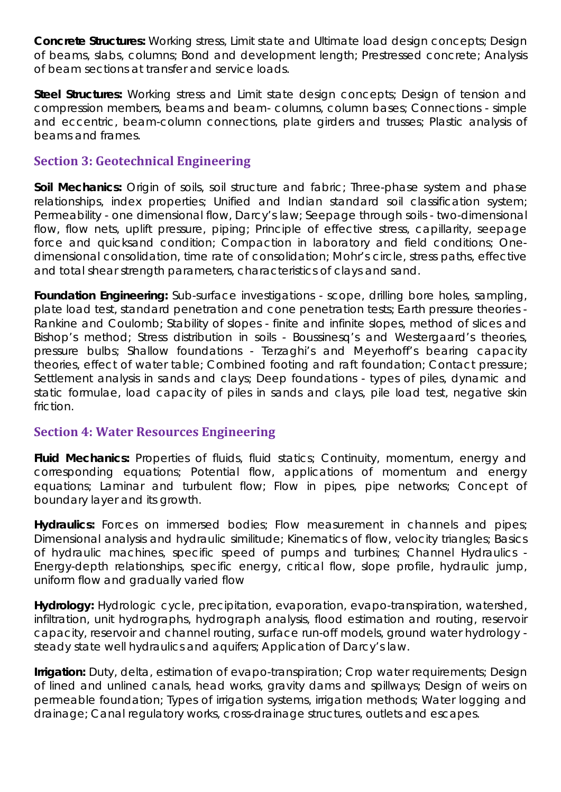**Concrete Structures:** Working stress, Limit state and Ultimate load design concepts; Design of beams, slabs, columns; Bond and development length; Prestressed concrete; Analysis of beam sections at transfer and service loads.

**Steel Structures:** Working stress and Limit state design concepts; Design of tension and compression members, beams and beam- columns, column bases; Connections - simple and eccentric, beam-column connections, plate girders and trusses; Plastic analysis of beams and frames.

### **Section 3: Geotechnical Engineering**

**Soil Mechanics:** Origin of soils, soil structure and fabric; Three-phase system and phase relationships, index properties; Unified and Indian standard soil classification system; Permeability - one dimensional flow, Darcy's law; Seepage through soils - two-dimensional flow, flow nets, uplift pressure, piping; Principle of effective stress, capillarity, seepage force and quicksand condition; Compaction in laboratory and field conditions; Onedimensional consolidation, time rate of consolidation; Mohr's circle, stress paths, effective and total shear strength parameters, characteristics of clays and sand.

**Foundation Engineering:** Sub-surface investigations - scope, drilling bore holes, sampling, plate load test, standard penetration and cone penetration tests; Earth pressure theories - Rankine and Coulomb; Stability of slopes - finite and infinite slopes, method of slices and Bishop's method; Stress distribution in soils - Boussinesq's and Westergaard's theories, pressure bulbs; Shallow foundations - Terzaghi's and Meyerhoff's bearing capacity theories, effect of water table; Combined footing and raft foundation; Contact pressure; Settlement analysis in sands and clays; Deep foundations - types of piles, dynamic and static formulae, load capacity of piles in sands and clays, pile load test, negative skin friction.

### **Section 4: Water Resources Engineering**

Fluid Mechanics: Properties of fluids, fluid statics; Continuity, momentum, energy and corresponding equations; Potential flow, applications of momentum and energy equations; Laminar and turbulent flow; Flow in pipes, pipe networks; Concept of boundary layer and its growth.

**Hydraulics:** Forces on immersed bodies; Flow measurement in channels and pipes; Dimensional analysis and hydraulic similitude; Kinematics of flow, velocity triangles; Basics of hydraulic machines, specific speed of pumps and turbines; Channel Hydraulics - Energy-depth relationships, specific energy, critical flow, slope profile, hydraulic jump, uniform flow and gradually varied flow

**Hydrology:** Hydrologic cycle, precipitation, evaporation, evapo-transpiration, watershed, infiltration, unit hydrographs, hydrograph analysis, flood estimation and routing, reservoir capacity, reservoir and channel routing, surface run-off models, ground water hydrology steady state well hydraulics and aquifers; Application of Darcy's law.

**Irrigation:** Duty, delta, estimation of evapo-transpiration; Crop water requirements; Design of lined and unlined canals, head works, gravity dams and spillways; Design of weirs on permeable foundation; Types of irrigation systems, irrigation methods; Water logging and drainage; Canal regulatory works, cross-drainage structures, outlets and escapes.